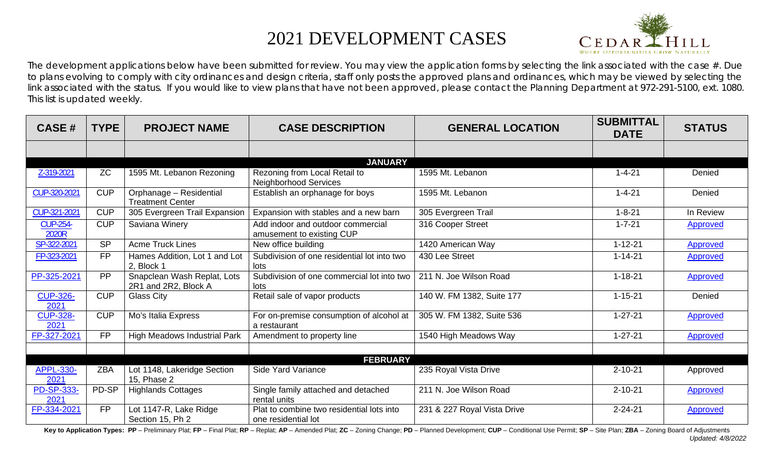## 2021 DEVELOPMENT CASES



The development applications below have been submitted for review. You may view the application forms by selecting the link associated with the case  $#$ . Due to plans evolving to comply with city ordinances and design criteria, staff only posts the approved plans and ordinances, which may be viewed by selecting the link associated with the status. If you would like to view plans that have not been approved, please contact the Planning Department at 972-291-5100, ext. 1080. This list is updated weekly.

| <b>CASE#</b>             | <b>TYPE</b> | <b>PROJECT NAME</b>                                 | <b>CASE DESCRIPTION</b>                                          | <b>GENERAL LOCATION</b>     | <b>SUBMITTAL</b><br><b>DATE</b> | <b>STATUS</b>   |
|--------------------------|-------------|-----------------------------------------------------|------------------------------------------------------------------|-----------------------------|---------------------------------|-----------------|
|                          |             |                                                     |                                                                  |                             |                                 |                 |
|                          |             |                                                     | <b>JANUARY</b>                                                   |                             |                                 |                 |
| Z-319-2021               | <b>ZC</b>   | 1595 Mt. Lebanon Rezoning                           | Rezoning from Local Retail to<br>Neighborhood Services           | 1595 Mt. Lebanon            | $1 - 4 - 21$                    | Denied          |
| CUP-320-2021             | <b>CUP</b>  | Orphanage - Residential<br><b>Treatment Center</b>  | Establish an orphanage for boys                                  | 1595 Mt. Lebanon            | $1 - 4 - 21$                    | Denied          |
| CUP-321-2021             | <b>CUP</b>  | 305 Evergreen Trail Expansion                       | Expansion with stables and a new barn                            | 305 Evergreen Trail         | $1 - 8 - 21$                    | In Review       |
| <b>CUP-254-</b><br>2020R | <b>CUP</b>  | Saviana Winery                                      | Add indoor and outdoor commercial<br>amusement to existing CUP   | 316 Cooper Street           | $1 - 7 - 21$                    | Approved        |
| SP-322-2021              | <b>SP</b>   | <b>Acme Truck Lines</b>                             | New office building                                              | 1420 American Way           | $1 - 12 - 21$                   | Approved        |
| FP-323-2021              | <b>FP</b>   | Hames Addition, Lot 1 and Lot<br>2, Block 1         | Subdivision of one residential lot into two<br>lots              | 430 Lee Street              | $1 - 14 - 21$                   | Approved        |
| PP-325-2021              | PP          | Snapclean Wash Replat, Lots<br>2R1 and 2R2, Block A | Subdivision of one commercial lot into two<br>lots               | 211 N. Joe Wilson Road      | $1 - 18 - 21$                   | Approved        |
| <b>CUP-326-</b><br>2021  | <b>CUP</b>  | <b>Glass City</b>                                   | Retail sale of vapor products                                    | 140 W. FM 1382, Suite 177   | $1 - 15 - 21$                   | Denied          |
| <b>CUP-328-</b><br>2021  | <b>CUP</b>  | Mo's Italia Express                                 | For on-premise consumption of alcohol at<br>a restaurant         | 305 W. FM 1382, Suite 536   | $1 - 27 - 21$                   | Approved        |
| FP-327-2021              | <b>FP</b>   | <b>High Meadows Industrial Park</b>                 | Amendment to property line                                       | 1540 High Meadows Way       | $1 - 27 - 21$                   | Approved        |
|                          |             |                                                     |                                                                  |                             |                                 |                 |
|                          |             |                                                     | <b>FEBRUARY</b>                                                  |                             |                                 |                 |
| <b>APPL-330-</b><br>2021 | <b>ZBA</b>  | Lot 1148, Lakeridge Section<br>15, Phase 2          | Side Yard Variance                                               | 235 Royal Vista Drive       | $2 - 10 - 21$                   | Approved        |
| PD-SP-333-<br>2021       | PD-SP       | <b>Highlands Cottages</b>                           | Single family attached and detached<br>rental units              | 211 N. Joe Wilson Road      | $2 - 10 - 21$                   | Approved        |
| FP-334-2021              | <b>FP</b>   | Lot 1147-R, Lake Ridge<br>Section 15, Ph 2          | Plat to combine two residential lots into<br>one residential lot | 231 & 227 Royal Vista Drive | $2 - 24 - 21$                   | <b>Approved</b> |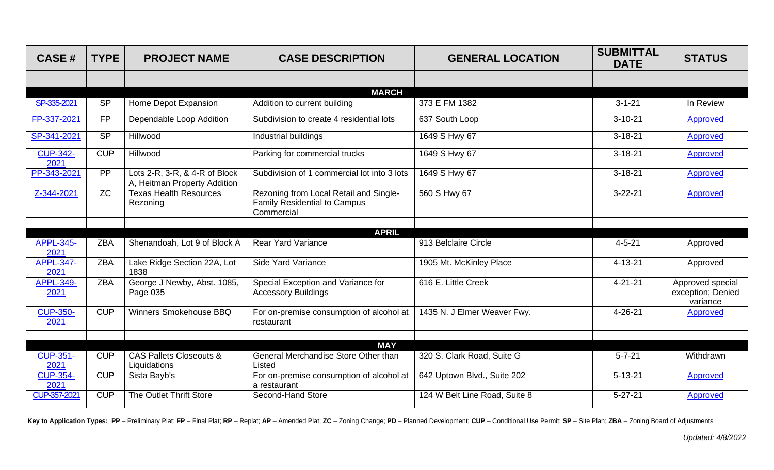| <b>CASE#</b>             | <b>TYPE</b> | <b>PROJECT NAME</b>                                           | <b>CASE DESCRIPTION</b>                                                                     | <b>GENERAL LOCATION</b>       | <b>SUBMITTAL</b><br><b>DATE</b> | <b>STATUS</b>                                     |
|--------------------------|-------------|---------------------------------------------------------------|---------------------------------------------------------------------------------------------|-------------------------------|---------------------------------|---------------------------------------------------|
|                          |             |                                                               |                                                                                             |                               |                                 |                                                   |
|                          |             |                                                               | <b>MARCH</b>                                                                                |                               |                                 |                                                   |
| SP-335-2021              | <b>SP</b>   | Home Depot Expansion                                          | Addition to current building                                                                | 373 E FM 1382                 | $3 - 1 - 21$                    | In Review                                         |
| FP-337-2021              | <b>FP</b>   | Dependable Loop Addition                                      | Subdivision to create 4 residential lots                                                    | 637 South Loop                | $3 - 10 - 21$                   | <b>Approved</b>                                   |
| SP-341-2021              | <b>SP</b>   | Hillwood                                                      | Industrial buildings                                                                        | 1649 S Hwy 67                 | $3 - 18 - 21$                   | <b>Approved</b>                                   |
| <b>CUP-342-</b><br>2021  | <b>CUP</b>  | Hillwood                                                      | Parking for commercial trucks                                                               | 1649 S Hwy 67                 | $3 - 18 - 21$                   | <b>Approved</b>                                   |
| PP-343-2021              | PP          | Lots 2-R, 3-R, & 4-R of Block<br>A, Heitman Property Addition | Subdivision of 1 commercial lot into 3 lots                                                 | 1649 S Hwy 67                 | $3 - 18 - 21$                   | Approved                                          |
| Z-344-2021               | <b>ZC</b>   | <b>Texas Health Resources</b><br>Rezoning                     | Rezoning from Local Retail and Single-<br><b>Family Residential to Campus</b><br>Commercial | 560 S Hwy 67                  | $3 - 22 - 21$                   | Approved                                          |
|                          |             |                                                               |                                                                                             |                               |                                 |                                                   |
|                          |             |                                                               | <b>APRIL</b>                                                                                |                               |                                 |                                                   |
| <b>APPL-345-</b><br>2021 | <b>ZBA</b>  | Shenandoah, Lot 9 of Block A                                  | <b>Rear Yard Variance</b>                                                                   | 913 Belclaire Circle          | $4 - 5 - 21$                    | Approved                                          |
| <b>APPL-347-</b><br>2021 | <b>ZBA</b>  | Lake Ridge Section 22A, Lot<br>1838                           | Side Yard Variance                                                                          | 1905 Mt. McKinley Place       | $4 - 13 - 21$                   | Approved                                          |
| <b>APPL-349-</b><br>2021 | <b>ZBA</b>  | George J Newby, Abst. 1085,<br>Page 035                       | Special Exception and Variance for<br><b>Accessory Buildings</b>                            | 616 E. Little Creek           | $4 - 21 - 21$                   | Approved special<br>exception; Denied<br>variance |
| <b>CUP-350-</b><br>2021  | <b>CUP</b>  | Winners Smokehouse BBQ                                        | For on-premise consumption of alcohol at<br>restaurant                                      | 1435 N. J Elmer Weaver Fwy.   | 4-26-21                         | Approved                                          |
|                          |             |                                                               |                                                                                             |                               |                                 |                                                   |
|                          |             |                                                               | <b>MAY</b>                                                                                  |                               |                                 |                                                   |
| <b>CUP-351-</b><br>2021  | <b>CUP</b>  | <b>CAS Pallets Closeouts &amp;</b><br>Liquidations            | General Merchandise Store Other than<br>Listed                                              | 320 S. Clark Road, Suite G    | $5 - 7 - 21$                    | Withdrawn                                         |
| <b>CUP-354-</b><br>2021  | <b>CUP</b>  | Sista Bayb's                                                  | For on-premise consumption of alcohol at<br>a restaurant                                    | 642 Uptown Blvd., Suite 202   | $5 - 13 - 21$                   | <b>Approved</b>                                   |
| CUP-357-2021             | <b>CUP</b>  | The Outlet Thrift Store                                       | Second-Hand Store                                                                           | 124 W Belt Line Road, Suite 8 | $5 - 27 - 21$                   | Approved                                          |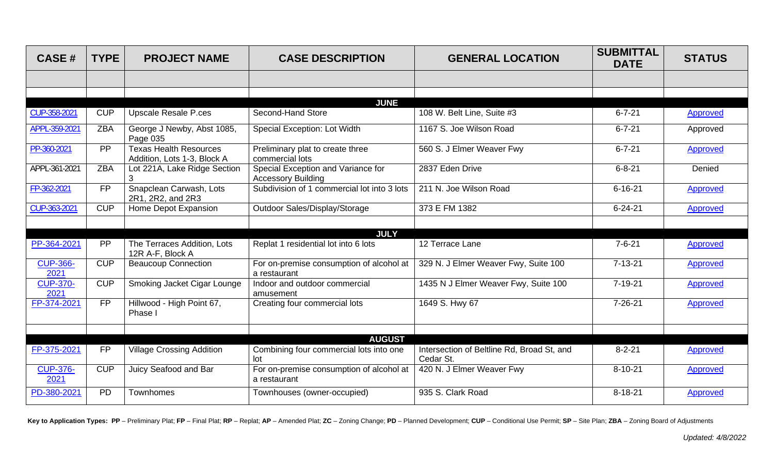| <b>CASE#</b>            | <b>TYPE</b>     | <b>PROJECT NAME</b>                                          | <b>CASE DESCRIPTION</b>                                         | <b>GENERAL LOCATION</b>                                 | <b>SUBMITTAL</b><br><b>DATE</b> | <b>STATUS</b>   |
|-------------------------|-----------------|--------------------------------------------------------------|-----------------------------------------------------------------|---------------------------------------------------------|---------------------------------|-----------------|
|                         |                 |                                                              |                                                                 |                                                         |                                 |                 |
|                         |                 |                                                              |                                                                 |                                                         |                                 |                 |
| CUP-358-2021            | <b>CUP</b>      | <b>Upscale Resale P.ces</b>                                  | <b>JUNE</b><br>Second-Hand Store                                | 108 W. Belt Line, Suite #3                              | $6 - 7 - 21$                    | Approved        |
| APPL-359-2021           | <b>ZBA</b>      | George J Newby, Abst 1085,<br>Page 035                       | Special Exception: Lot Width                                    | 1167 S. Joe Wilson Road                                 | $6 - 7 - 21$                    | Approved        |
| PP-360-2021             | $\overline{PP}$ | <b>Texas Health Resources</b><br>Addition, Lots 1-3, Block A | Preliminary plat to create three<br>commercial lots             | 560 S. J Elmer Weaver Fwy                               | $6 - 7 - 21$                    | <b>Approved</b> |
| APPL-361-2021           | <b>ZBA</b>      | Lot 221A, Lake Ridge Section                                 | Special Exception and Variance for<br><b>Accessory Building</b> | 2837 Eden Drive                                         | $6 - 8 - 21$                    | Denied          |
| FP-362-2021             | <b>FP</b>       | Snapclean Carwash, Lots<br>2R1, 2R2, and 2R3                 | Subdivision of 1 commercial lot into 3 lots                     | 211 N. Joe Wilson Road                                  | $6 - 16 - 21$                   | Approved        |
| CUP-363-2021            | <b>CUP</b>      | Home Depot Expansion                                         | Outdoor Sales/Display/Storage                                   | 373 E FM 1382                                           | $6 - 24 - 21$                   | Approved        |
|                         |                 |                                                              |                                                                 |                                                         |                                 |                 |
|                         |                 |                                                              | <b>JULY</b>                                                     |                                                         |                                 |                 |
| PP-364-2021             | PP              | The Terraces Addition, Lots<br>12R A-F, Block A              | Replat 1 residential lot into 6 lots                            | 12 Terrace Lane                                         | $7 - 6 - 21$                    | <b>Approved</b> |
| <b>CUP-366-</b><br>2021 | <b>CUP</b>      | <b>Beaucoup Connection</b>                                   | For on-premise consumption of alcohol at<br>a restaurant        | 329 N. J Elmer Weaver Fwy, Suite 100                    | $7 - 13 - 21$                   | <b>Approved</b> |
| <b>CUP-370-</b><br>2021 | <b>CUP</b>      | Smoking Jacket Cigar Lounge                                  | Indoor and outdoor commercial<br>amusement                      | 1435 N J Elmer Weaver Fwy, Suite 100                    | $7 - 19 - 21$                   | <b>Approved</b> |
| FP-374-2021             | <b>FP</b>       | Hillwood - High Point 67,<br>Phase I                         | Creating four commercial lots                                   | 1649 S. Hwy 67                                          | $7 - 26 - 21$                   | Approved        |
|                         |                 |                                                              |                                                                 |                                                         |                                 |                 |
|                         |                 |                                                              | <b>AUGUST</b>                                                   |                                                         |                                 |                 |
| FP-375-2021             | <b>FP</b>       | <b>Village Crossing Addition</b>                             | Combining four commercial lots into one<br>lot                  | Intersection of Beltline Rd, Broad St, and<br>Cedar St. | $8 - 2 - 21$                    | <b>Approved</b> |
| <b>CUP-376-</b><br>2021 | <b>CUP</b>      | Juicy Seafood and Bar                                        | For on-premise consumption of alcohol at<br>a restaurant        | 420 N. J Elmer Weaver Fwy                               | $8 - 10 - 21$                   | Approved        |
| PD-380-2021             | <b>PD</b>       | Townhomes                                                    | Townhouses (owner-occupied)                                     | 935 S. Clark Road                                       | $8 - 18 - 21$                   | Approved        |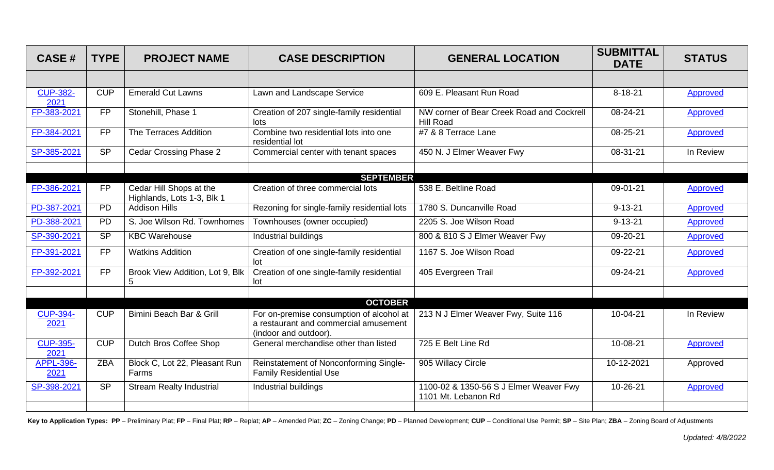| <b>CASE#</b>             | <b>TYPE</b> | <b>PROJECT NAME</b>                                   | <b>CASE DESCRIPTION</b>                                                                                    | <b>GENERAL LOCATION</b>                                       | <b>SUBMITTAL</b><br><b>DATE</b> | <b>STATUS</b>   |
|--------------------------|-------------|-------------------------------------------------------|------------------------------------------------------------------------------------------------------------|---------------------------------------------------------------|---------------------------------|-----------------|
|                          |             |                                                       |                                                                                                            |                                                               |                                 |                 |
| <b>CUP-382-</b><br>2021  | <b>CUP</b>  | <b>Emerald Cut Lawns</b>                              | Lawn and Landscape Service                                                                                 | 609 E. Pleasant Run Road                                      | $8 - 18 - 21$                   | Approved        |
| FP-383-2021              | <b>FP</b>   | Stonehill, Phase 1                                    | Creation of 207 single-family residential<br>lots                                                          | NW corner of Bear Creek Road and Cockrell<br><b>Hill Road</b> | 08-24-21                        | Approved        |
| FP-384-2021              | <b>FP</b>   | The Terraces Addition                                 | Combine two residential lots into one<br>residential lot                                                   | #7 & 8 Terrace Lane                                           | 08-25-21                        | Approved        |
| SP-385-2021              | <b>SP</b>   | <b>Cedar Crossing Phase 2</b>                         | Commercial center with tenant spaces                                                                       | 450 N. J Elmer Weaver Fwy                                     | 08-31-21                        | In Review       |
|                          |             |                                                       | <b>SEPTEMBER</b>                                                                                           |                                                               |                                 |                 |
| FP-386-2021              | <b>FP</b>   | Cedar Hill Shops at the<br>Highlands, Lots 1-3, Blk 1 | Creation of three commercial lots                                                                          | 538 E. Beltline Road                                          | 09-01-21                        | Approved        |
| PD-387-2021              | <b>PD</b>   | <b>Addison Hills</b>                                  | Rezoning for single-family residential lots                                                                | 1780 S. Duncanville Road                                      | $9 - 13 - 21$                   | <b>Approved</b> |
| PD-388-2021              | <b>PD</b>   | S. Joe Wilson Rd. Townhomes                           | Townhouses (owner occupied)                                                                                | 2205 S. Joe Wilson Road                                       | $9 - 13 - 21$                   | Approved        |
| SP-390-2021              | <b>SP</b>   | <b>KBC Warehouse</b>                                  | Industrial buildings                                                                                       | 800 & 810 S J Elmer Weaver Fwy                                | 09-20-21                        | <b>Approved</b> |
| FP-391-2021              | <b>FP</b>   | <b>Watkins Addition</b>                               | Creation of one single-family residential<br>lot                                                           | 1167 S. Joe Wilson Road                                       | 09-22-21                        | Approved        |
| FP-392-2021              | <b>FP</b>   | Brook View Addition, Lot 9, Blk<br>5                  | Creation of one single-family residential<br>lot                                                           | 405 Evergreen Trail                                           | 09-24-21                        | Approved        |
|                          |             |                                                       |                                                                                                            |                                                               |                                 |                 |
|                          |             |                                                       | <b>OCTOBER</b>                                                                                             |                                                               |                                 |                 |
| <b>CUP-394-</b><br>2021  | <b>CUP</b>  | Bimini Beach Bar & Grill                              | For on-premise consumption of alcohol at<br>a restaurant and commercial amusement<br>(indoor and outdoor). | 213 N J Elmer Weaver Fwy, Suite 116                           | 10-04-21                        | In Review       |
| <b>CUP-395-</b><br>2021  | CUP         | <b>Dutch Bros Coffee Shop</b>                         | General merchandise other than listed                                                                      | 725 E Belt Line Rd                                            | 10-08-21                        | <b>Approved</b> |
| <b>APPL-396-</b><br>2021 | <b>ZBA</b>  | Block C, Lot 22, Pleasant Run<br>Farms                | Reinstatement of Nonconforming Single-<br><b>Family Residential Use</b>                                    | 905 Willacy Circle                                            | 10-12-2021                      | Approved        |
| SP-398-2021              | <b>SP</b>   | <b>Stream Realty Industrial</b>                       | Industrial buildings                                                                                       | 1100-02 & 1350-56 S J Elmer Weaver Fwy<br>1101 Mt. Lebanon Rd | 10-26-21                        | Approved        |
|                          |             |                                                       |                                                                                                            |                                                               |                                 |                 |